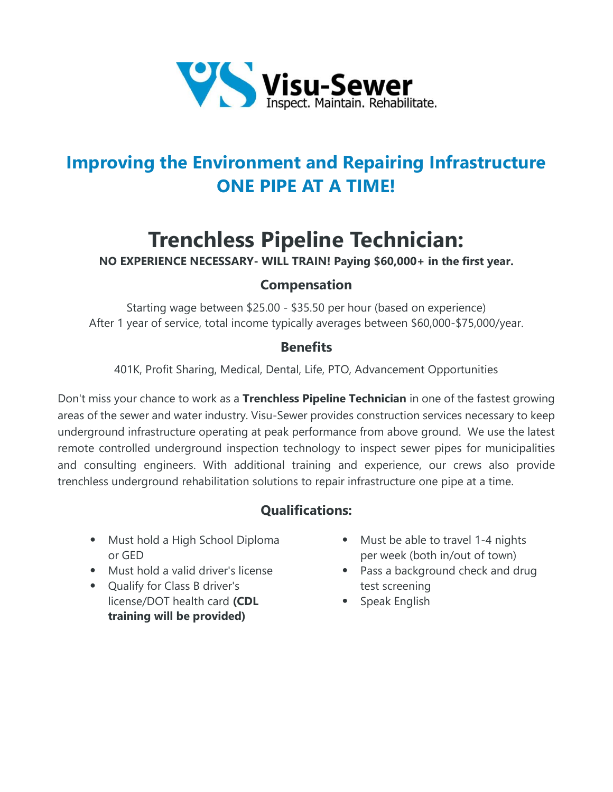

## **Improving the Environment and Repairing Infrastructure ONE PIPE AT A TIME!**

# **Trenchless Pipeline Technician:**

**NO EXPERIENCE NECESSARY- WILL TRAIN! Paying \$60,000+ in the first year.**

#### **Compensation**

Starting wage between \$25.00 - \$35.50 per hour (based on experience) After 1 year of service, total income typically averages between \$60,000-\$75,000/year.

#### **Benefits**

401K, Profit Sharing, Medical, Dental, Life, PTO, Advancement Opportunities

Don't miss your chance to work as a **Trenchless Pipeline Technician** in one of the fastest growing areas of the sewer and water industry. Visu-Sewer provides construction services necessary to keep underground infrastructure operating at peak performance from above ground. We use the latest remote controlled underground inspection technology to inspect sewer pipes for municipalities and consulting engineers. With additional training and experience, our crews also provide trenchless underground rehabilitation solutions to repair infrastructure one pipe at a time.

### **Qualifications:**

- Must hold a High School Diploma or GED
- Must hold a valid driver's license
- Qualify for Class B driver's license/DOT health card **(CDL training will be provided)**
- Must be able to travel 1-4 nights per week (both in/out of town)
- Pass a background check and drug test screening
- Speak English